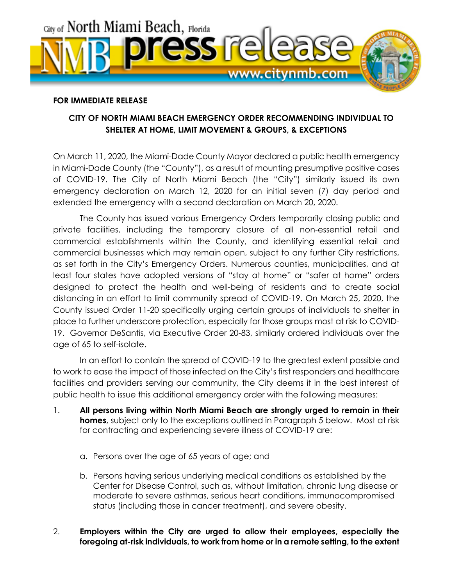

## **FOR IMMEDIATE RELEASE**

## **CITY OF NORTH MIAMI BEACH EMERGENCY ORDER RECOMMENDING INDIVIDUAL TO SHELTER AT HOME, LIMIT MOVEMENT & GROUPS, & EXCEPTIONS**

On March 11, 2020, the Miami-Dade County Mayor declared a public health emergency in Miami-Dade County (the "County"), as a result of mounting presumptive positive cases of COVID-19. The City of North Miami Beach (the "City") similarly issued its own emergency declaration on March 12, 2020 for an initial seven (7) day period and extended the emergency with a second declaration on March 20, 2020.

The County has issued various Emergency Orders temporarily closing public and private facilities, including the temporary closure of all non-essential retail and commercial establishments within the County, and identifying essential retail and commercial businesses which may remain open, subject to any further City restrictions, as set forth in the City's Emergency Orders. Numerous counties, municipalities, and at least four states have adopted versions of "stay at home" or "safer at home" orders designed to protect the health and well-being of residents and to create social distancing in an effort to limit community spread of COVID-19. On March 25, 2020, the County issued Order 11-20 specifically urging certain groups of individuals to shelter in place to further underscore protection, especially for those groups most at risk to COVID-19. Governor DeSantis, via Executive Order 20-83, similarly ordered individuals over the age of 65 to self-isolate.

In an effort to contain the spread of COVID-19 to the greatest extent possible and to work to ease the impact of those infected on the City's first responders and healthcare facilities and providers serving our community, the City deems it in the best interest of public health to issue this additional emergency order with the following measures:

- 1. **All persons living within North Miami Beach are strongly urged to remain in their homes**, subject only to the exceptions outlined in Paragraph 5 below. Most at risk for contracting and experiencing severe illness of COVID-19 are:
	- a. Persons over the age of 65 years of age; and
	- b. Persons having serious underlying medical conditions as established by the Center for Disease Control, such as, without limitation, chronic lung disease or moderate to severe asthmas, serious heart conditions, immunocompromised status (including those in cancer treatment), and severe obesity.

## 2. **Employers within the City are urged to allow their employees, especially the foregoing at-risk individuals, to work from home or in a remote setting, to the extent**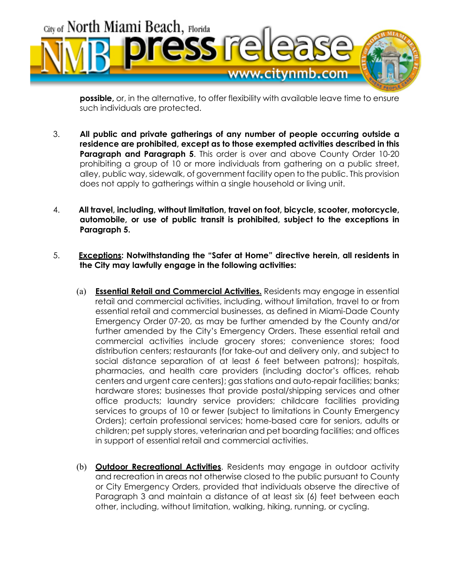

**possible,** or, in the alternative, to offer flexibility with available leave time to ensure such individuals are protected.

- 3. **All public and private gatherings of any number of people occurring outside a residence are prohibited, except as to those exempted activities described in this**  Paragraph and Paragraph 5. This order is over and above County Order 10-20 prohibiting a group of 10 or more individuals from gathering on a public street, alley, public way, sidewalk, of government facility open to the public. This provision does not apply to gatherings within a single household or living unit.
- 4. **All travel, including, without limitation, travel on foot, bicycle, scooter, motorcycle, automobile, or use of public transit is prohibited, subject to the exceptions in Paragraph 5.**
- 5. **Exceptions: Notwithstanding the "Safer at Home" directive herein, all residents in the City may lawfully engage in the following activities:**
	- (a) **Essential Retail and Commercial Activities.** Residents may engage in essential retail and commercial activities, including, without limitation, travel to or from essential retail and commercial businesses, as defined in Miami-Dade County Emergency Order 07-20, as may be further amended by the County and/or further amended by the City's Emergency Orders. These essential retail and commercial activities include grocery stores; convenience stores; food distribution centers; restaurants (for take-out and delivery only, and subject to social distance separation of at least 6 feet between patrons); hospitals, pharmacies, and health care providers (including doctor's offices, rehab centers and urgent care centers); gas stations and auto-repair facilities; banks; hardware stores; businesses that provide postal/shipping services and other office products; laundry service providers; childcare facilities providing services to groups of 10 or fewer (subject to limitations in County Emergency Orders); certain professional services; home-based care for seniors, adults or children; pet supply stores, veterinarian and pet boarding facilities; and offices in support of essential retail and commercial activities.
	- (b) **Outdoor Recreational Activities**. Residents may engage in outdoor activity and recreation in areas not otherwise closed to the public pursuant to County or City Emergency Orders, provided that individuals observe the directive of Paragraph 3 and maintain a distance of at least six (6) feet between each other, including, without limitation, walking, hiking, running, or cycling.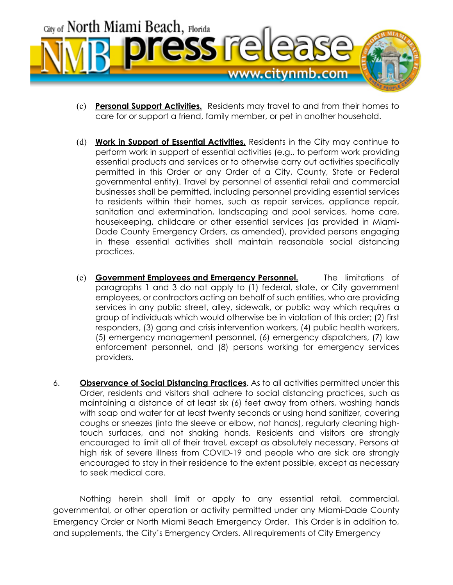

- (c) **Personal Support Activities.** Residents may travel to and from their homes to care for or support a friend, family member, or pet in another household.
- (d) **Work in Support of Essential Activities.** Residents in the City may continue to perform work in support of essential activities (e.g., to perform work providing essential products and services or to otherwise carry out activities specifically permitted in this Order or any Order of a City, County, State or Federal governmental entity). Travel by personnel of essential retail and commercial businesses shall be permitted, including personnel providing essential services to residents within their homes, such as repair services, appliance repair, sanitation and extermination, landscaping and pool services, home care, housekeeping, childcare or other essential services (as provided in Miami-Dade County Emergency Orders, as amended), provided persons engaging in these essential activities shall maintain reasonable social distancing practices.
- (e) **Government Employees and Emergency Personnel.** The limitations of paragraphs 1 and 3 do not apply to (1) federal, state, or City government employees, or contractors acting on behalf of such entities, who are providing services in any public street, alley, sidewalk, or public way which requires a group of individuals which would otherwise be in violation of this order; (2) first responders, (3) gang and crisis intervention workers, (4) public health workers, (5) emergency management personnel, (6) emergency dispatchers, (7) law enforcement personnel, and (8) persons working for emergency services providers.
- 6. **Observance of Social Distancing Practices**. As to all activities permitted under this Order, residents and visitors shall adhere to social distancing practices, such as maintaining a distance of at least six (6) feet away from others, washing hands with soap and water for at least twenty seconds or using hand sanitizer, covering coughs or sneezes (into the sleeve or elbow, not hands), regularly cleaning hightouch surfaces, and not shaking hands. Residents and visitors are strongly encouraged to limit all of their travel, except as absolutely necessary. Persons at high risk of severe illness from COVID-19 and people who are sick are strongly encouraged to stay in their residence to the extent possible, except as necessary to seek medical care.

Nothing herein shall limit or apply to any essential retail, commercial, governmental, or other operation or activity permitted under any Miami-Dade County Emergency Order or North Miami Beach Emergency Order. This Order is in addition to, and supplements, the City's Emergency Orders. All requirements of City Emergency